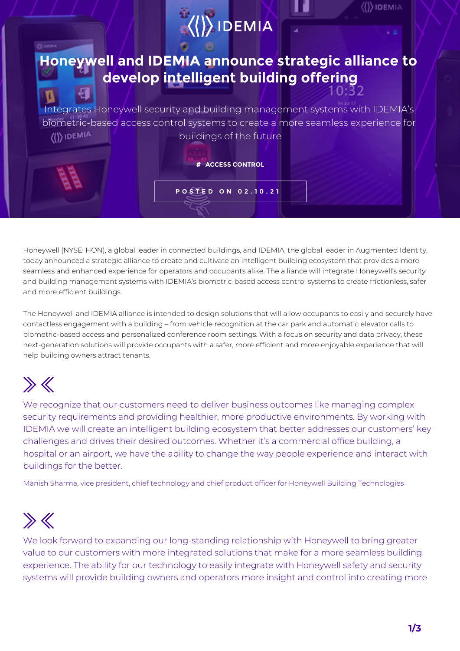

Honeywell (NYSE: HON), a global leader in connected buildings, and IDEMIA, the global leader in Augmented Identity, today announced a strategic alliance to create and cultivate an intelligent building ecosystem that provides a more seamless and enhanced experience for operators and occupants alike. The alliance will integrate Honeywell's security and building management systems with IDEMIA's biometric-based access control systems to create frictionless, safer and more efficient buildings.

The Honeywell and IDEMIA alliance is intended to design solutions that will allow occupants to easily and securely have contactless engagement with a building – from vehicle recognition at the car park and automatic elevator calls to biometric-based access and personalized conference room settings. With a focus on security and data privacy, these next-generation solutions will provide occupants with a safer, more efficient and more enjoyable experience that will help building owners attract tenants.

# $\gg K$

We recognize that our customers need to deliver business outcomes like managing complex security requirements and providing healthier, more productive environments. By working with IDEMIA we will create an intelligent building ecosystem that better addresses our customers' key challenges and drives their desired outcomes. Whether it's a commercial office building, a hospital or an airport, we have the ability to change the way people experience and interact with buildings for the better.

Manish Sharma, vice president, chief technology and chief product officer for Honeywell Building Technologies

# $\gg K$

We look forward to expanding our long-standing relationship with Honeywell to bring greater value to our customers with more integrated solutions that make for a more seamless building experience. The ability for our technology to easily integrate with Honeywell safety and security systems will provide building owners and operators more insight and control into creating more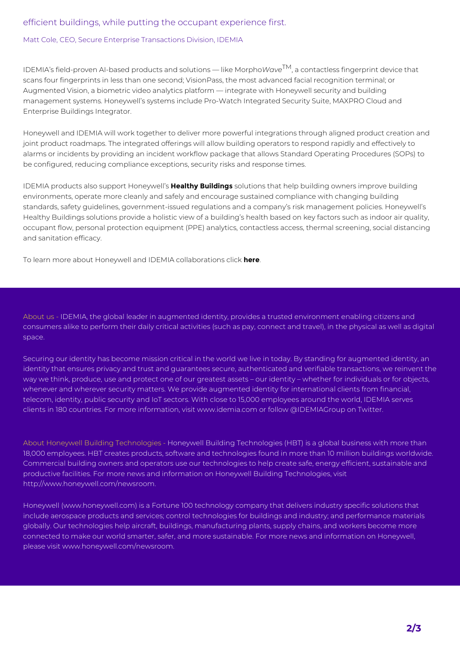### efficient buildings, while putting the occupant experience first.

#### Matt Cole, CEO, Secure Enterprise Transactions Division, IDEMIA

IDEMIA's field-proven AI-based products and solutions — like Morpho*Wave*TM, a contactless fingerprint device that scans four fingerprints in less than one second; VisionPass, the most advanced facial recognition terminal; or Augmented Vision, a biometric video analytics platform — integrate with Honeywell security and building management systems. Honeywell's systems include Pro-Watch Integrated Security Suite, MAXPRO Cloud and Enterprise Buildings Integrator.

Honeywell and IDEMIA will work together to deliver more powerful integrations through aligned product creation and joint product roadmaps. The integrated offerings will allow building operators to respond rapidly and effectively to alarms or incidents by providing an incident workflow package that allows Standard Operating Procedures (SOPs) to be configured, reducing compliance exceptions, security risks and response times.

IDEMIA products also support Honeywell's **Healthy Buildings** solutions that help building owners improve building environments, operate more cleanly and safely and encourage sustained compliance with changing building standards, safety guidelines, government-issued regulations and a company's risk management policies. Honeywell's Healthy Buildings solutions provide a holistic view of a building's health based on key factors such as indoor air quality, occupant flow, personal protection equipment (PPE) analytics, contactless access, thermal screening, social distancing and sanitation efficacy.

To learn more about Honeywell and IDEMIA collaborations click **here**.

About us - IDEMIA, the global leader in augmented identity, provides a trusted environment enabling citizens and consumers alike to perform their daily critical activities (such as pay, connect and travel), in the physical as well as digital space.

Securing our identity has become mission critical in the world we live in today. By standing for augmented identity, an identity that ensures privacy and trust and quarantees secure, authenticated and verifiable transactions, we reinvent the way we think, produce, use and protect one of our greatest assets – our identity – whether for individuals or for objects, whenever and wherever security matters. We provide augmented identity for international clients from financial, telecom, identity, public security and IoT sectors. With close to 15,000 employees around the world, IDEMIA serves clients in 180 countries. For more information, visit www.idemia.com or follow @IDEMIAGroup on Twitter.

About Honeywell Building Technologies - Honeywell Building Technologies (HBT) is a global business with more than 18,000 employees. HBT creates products, software and technologies found in more than 10 million buildings worldwide. Commercial building owners and operators use our technologies to help create safe, energy efficient, sustainable and productive facilities. For more news and information on Honeywell Building Technologies, visit http://www.honeywell.com/newsroom.

Honeywell (www.honeywell.com) is a Fortune 100 technology company that delivers industry specific solutions that include aerospace products and services; control technologies for buildings and industry; and performance materials globally. Our technologies help aircraft, buildings, manufacturing plants, supply chains, and workers become more connected to make our world smarter, safer, and more sustainable. For more news and information on Honeywell, please visit www.honeywell.com/newsroom.